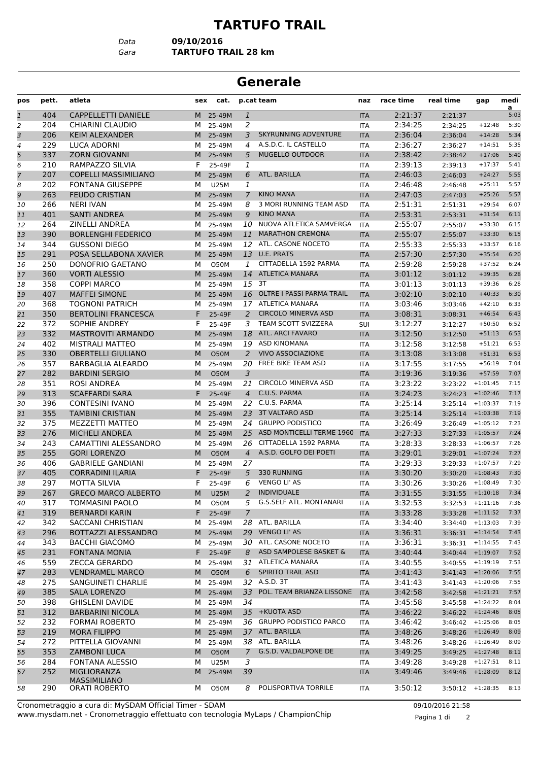## **TARTUFO TRAIL**

*Data* **09/10/2016**

*Gara* **TARTUFO TRAIL 28 km**

## **Generale**

| pos            | pett. | atleta                      | sex            | cat.        |                | p.cat team                   | naz        | race time | real time | gap                 | medi<br>a |
|----------------|-------|-----------------------------|----------------|-------------|----------------|------------------------------|------------|-----------|-----------|---------------------|-----------|
| $\mathbf{1}$   | 404   | CAPPELLETTI DANIELE         | M <sub>1</sub> | 25-49M      | $\mathbf{1}$   |                              | <b>ITA</b> | 2:21:37   | 2:21:37   |                     | 5:03      |
| 2              | 204   | CHIARINI CLAUDIO            | м              | 25-49M      | 2              |                              | <b>ITA</b> | 2:34:25   | 2:34:25   | $+12:48$            | 5:30      |
| 3              | 206   | <b>KEIM ALEXANDER</b>       | M              | 25-49M      | 3              | SKYRUNNING ADVENTURE         | <b>ITA</b> | 2:36:04   | 2:36:04   | $+14:28$            | 5:34      |
| 4              | 229   | LUCA ADORNI                 | м              | 25-49M      | 4              | A.S.D.C. IL CASTELLO         | ITA        | 2:36:27   | 2:36:27   | $+14:51$            | 5:35      |
| 5              | 337   | <b>ZORN GIOVANNI</b>        | M              | 25-49M      | 5              | <b>MUGELLO OUTDOOR</b>       | <b>ITA</b> | 2:38:42   | 2:38:42   | $+17:06$            | 5:40      |
| 6              | 210   | RAMPAZZO SILVIA             | F              | 25-49F      | 1              |                              | <b>ITA</b> | 2:39:13   | 2:39:13   | $+17:37$            | 5:41      |
| $\overline{7}$ | 207   | <b>COPELLI MASSIMILIANO</b> | M              | 25-49M      | 6              | ATL. BARILLA                 | <b>ITA</b> | 2:46:03   | 2:46:03   | $+24:27$            | 5:55      |
| 8              | 202   | <b>FONTANA GIUSEPPE</b>     | м              | <b>U25M</b> | 1              |                              | ITA        | 2:46:48   | 2:46:48   | $+25:11$            | 5:57      |
| 9              | 263   | <b>FEUDO CRISTIAN</b>       | M              | 25-49M      | $\overline{7}$ | <b>KINO MANA</b>             | <b>ITA</b> | 2:47:03   | 2:47:03   | $+25:26$            | 5:57      |
| 10             | 266   | <b>NERI IVAN</b>            | м              | 25-49M      | 8              | 3 MORI RUNNING TEAM ASD      | ITA        | 2:51:31   | 2:51:31   | $+29:54$            | 6:07      |
| 11             | 401   | <b>SANTI ANDREA</b>         | M              | 25-49M      | 9              | <b>KINO MANA</b>             | <b>ITA</b> | 2:53:31   | 2:53:31   | $+31:54$            | 6:11      |
| 12             | 264   | <b>ZINELLI ANDREA</b>       | М              | 25-49M      | 10             | NUOVA ATLETICA SAMVERGA      | <b>ITA</b> | 2:55:07   | 2:55:07   | $+33:30$            | 6:15      |
| 13             | 390   | <b>BORLENGHI FEDERICO</b>   | M              | 25-49M      | 11             | <b>MARATHON CREMONA</b>      | <b>ITA</b> | 2:55:07   | 2:55:07   | $+33:30$            | 6:15      |
| 14             | 344   | <b>GUSSONI DIEGO</b>        | м              | 25-49M      | 12             | ATL. CASONE NOCETO           | ITA        | 2:55:33   | 2:55:33   | $+33:57$            | 6:16      |
| 15             | 291   | POSA SELLABONA XAVIER       | M              | 25-49M      | 13             | <b>U.E. PRATS</b>            | <b>ITA</b> | 2:57:30   | 2:57:30   | $+35:54$            | 6:20      |
| 16             | 250   | DONOFRIO GAETANO            | м              | <b>O50M</b> | 1              | CITTADELLA 1592 PARMA        | ITA        | 2:59:28   | 2:59:28   | $+37:52$            | 6:24      |
| 17             | 360   | <b>VORTI ALESSIO</b>        | M              | 25-49M      |                | 14 ATLETICA MANARA           | <b>ITA</b> | 3:01:12   | 3:01:12   | $+39:35$            | 6:28      |
| 18             | 358   | <b>COPPI MARCO</b>          | м              | 25-49M      |                | 15 3T                        | <b>ITA</b> | 3:01:13   | 3:01:13   | $+39:36$            | 6:28      |
| 19             | 407   | <b>MAFFEI SIMONE</b>        | M              | 25-49M      |                | 16 OLTRE I PASSI PARMA TRAIL | <b>ITA</b> | 3:02:10   | 3:02:10   | $+40:33$            | 6:30      |
| 20             | 368   | <b>TOGNONI PATRICH</b>      | м              | 25-49M      |                | 17 ATLETICA MANARA           | ITA        | 3:03:46   | 3:03:46   | $+42:10$            | 6:33      |
| 21             | 350   | <b>BERTOLINI FRANCESCA</b>  | F              | 25-49F      | $\overline{2}$ | <b>CIRCOLO MINERVA ASD</b>   | <b>ITA</b> | 3:08:31   | 3:08:31   | $+46:54$            | 6:43      |
| 22             | 372   | <b>SOPHIE ANDREY</b>        | F.             | 25-49F      | 3              | TEAM SCOTT SVIZZERA          | <b>SUI</b> | 3:12:27   | 3:12:27   | $+50:50$            | 6:52      |
| 23             | 332   | <b>MASTROVITI ARMANDO</b>   | M              | 25-49M      | 18             | ATL. ARCI FAVARO             | <b>ITA</b> | 3:12:50   | 3:12:50   | $+51:13$            | 6:53      |
| 24             | 402   | <b>MISTRALI MATTEO</b>      | м              | 25-49M      | 19             | ASD KINOMANA                 | <b>ITA</b> | 3:12:58   | 3:12:58   | $+51:21$            | 6:53      |
| 25             | 330   | <b>OBERTELLI GIULIANO</b>   | M              | <b>O50M</b> | 2              | <b>VIVO ASSOCIAZIONE</b>     | <b>ITA</b> | 3:13:08   | 3:13:08   | $+51:31$            | 6:53      |
| 26             | 357   | <b>BARBAGLIA ALEARDO</b>    | м              | 25-49M      | 20             | FREE BIKE TEAM ASD           | ITA        | 3:17:55   | 3:17:55   | $+56:19$            | 7:04      |
| 27             | 282   | <b>BARDINI SERGIO</b>       | M              | <b>O50M</b> | 3              |                              | <b>ITA</b> | 3:19:36   | 3:19:36   | $+57:59$            | 7:07      |
| 28             | 351   | ROSI ANDREA                 | м              | 25-49M      | 21             | <b>CIRCOLO MINERVA ASD</b>   | ITA        | 3:23:22   | 3:23:22   | $+1:01:45$          | 7:15      |
| 29             | 313   | <b>SCAFFARDI SARA</b>       | F.             | 25-49F      | $\overline{4}$ | C.U.S. PARMA                 | <b>ITA</b> | 3:24:23   | 3:24:23   | $+1:02:46$          | 7:17      |
| 30             | 396   | <b>CONTESINI IVANO</b>      | м              | 25-49M      | 22             | C.U.S. PARMA                 | <b>ITA</b> | 3:25:14   | 3:25:14   | $+1:03:37$          | 7:19      |
| 31             | 355   | <b>TAMBINI CRISTIAN</b>     | M              | 25-49M      |                | 23 3T VALTARO ASD            | <b>ITA</b> | 3:25:14   | 3:25:14   | $+1:03:38$          | 7:19      |
| 32             | 375   | <b>MEZZETTI MATTEO</b>      | м              | 25-49M      |                | 24 GRUPPO PODISTICO          | <b>ITA</b> | 3:26:49   | 3:26:49   | $+1:05:12$          | 7:23      |
| 33             | 276   | <b>MICHELI ANDREA</b>       | M              | 25-49M      |                | 25 ASD MONTICELLI TERME 1960 | <b>ITA</b> | 3:27:33   | 3:27:33   | $+1:05:57$          | 7:24      |
| 34             | 243   | CAMATTINI ALESSANDRO        | м              | 25-49M      |                | 26 CITTADELLA 1592 PARMA     | ITA        | 3:28:33   | 3:28:33   | $+1:06:57$          | 7:26      |
| 35             | 255   | <b>GORI LORENZO</b>         | M              | <b>O50M</b> |                | 4 A.S.D. GOLFO DEI POETI     | <b>ITA</b> | 3:29:01   |           | $3:29:01$ +1:07:24  | 7:27      |
| 36             | 406   | <b>GABRIELE GANDIANI</b>    | м              | 25-49M      | 27             |                              | <b>ITA</b> | 3:29:33   | 3:29:33   | $+1:07:57$          | 7:29      |
| 37             | 405   | <b>CORRADINI ILARIA</b>     | F.             | 25-49F      | 5              | 330 RUNNING                  | <b>ITA</b> | 3:30:20   | 3:30:20   | $+1:08:43$          | 7:30      |
| 38             | 297   | <b>MOTTA SILVIA</b>         | F              | 25-49F      | 6              | <b>VENGO LI' AS</b>          | <b>ITA</b> | 3:30:26   | 3:30:26   | $+1:08:49$          | 7:30      |
| 39             | 267   | <b>GRECO MARCO ALBERTO</b>  | M              | <b>U25M</b> | $\overline{a}$ | <b>INDIVIDUALE</b>           | <b>ITA</b> | 3:31:55   |           | $3:31:55$ +1:10:18  | 7:34      |
| 40             | 317   | TOMMASINI PAOLO             | м              | O50M        |                | 5 G.S.SELF ATL. MONTANARI    | ITA        | 3:32:53   |           | $3:32:53 +1:11:16$  | 7:36      |
| 41             | 319   | <b>BERNARDI KARIN</b>       | F.             | 25-49F      | $\overline{7}$ |                              | <b>ITA</b> | 3:33:28   | 3:33:28   | $+1:11:52$          | 7:37      |
| 42             | 342   | SACCANI CHRISTIAN           | м              | 25-49M      | 28             | ATL. BARILLA                 | ITA        | 3:34:40   |           | $3:34:40 + 1:13:03$ | 7:39      |
| 43             | 296   | BOTTAZZI ALESSANDRO         | M              | 25-49M      |                | 29 VENGO LI' AS              | <b>ITA</b> | 3:36:31   |           | $3:36:31 + 1:14:54$ | 7:43      |
| 44             | 343   | <b>BACCHI GIACOMO</b>       | м              | 25-49M      |                | 30 ATL. CASONE NOCETO        | ITA        | 3:36:31   |           | $3:36:31$ +1:14:55  | 7:43      |
| 45             | 231   | <b>FONTANA MONIA</b>        | F.             | 25-49F      | 8              | ASD SAMPOLESE BASKET &       | <b>ITA</b> | 3:40:44   | 3:40:44   | $+1:19:07$          | 7:52      |
| 46             | 559   | <b>ZECCA GERARDO</b>        | м              | 25-49M      |                | 31 ATLETICA MANARA           | ITA        | 3:40:55   |           | $3:40:55$ +1:19:19  | 7:53      |
| 47             | 283   | <b>VENDRAMEL MARCO</b>      | M              | <b>O50M</b> | 6              | SPIRITO TRAIL ASD            | <b>ITA</b> | 3:41:43   |           | $3:41:43$ +1:20:06  | 7:55      |
| 48             | 275   | SANGUINETI CHARLIE          | м              | 25-49M      |                | 32 A.S.D. 3T                 | ITA        | 3:41:43   | 3:41:43   | $+1:20:06$          | 7:55      |
| 49             | 385   | <b>SALA LORENZO</b>         | M              | 25-49M      |                | 33 POL. TEAM BRIANZA LISSONE | <b>ITA</b> | 3:42:58   | 3:42:58   | $+1:21:21$          | 7:57      |
| 50             | 398   | <b>GHISLENI DAVIDE</b>      | м              | 25-49M      | 34             |                              | ITA        | 3:45:58   | 3:45:58   | $+1:24:22$          | 8:04      |
| 51             | 312   | <b>BARBARINI NICOLA</b>     | M              | 25-49M      |                | 35 +KUOTA ASD                | <b>ITA</b> | 3:46:22   | 3:46:22   | $+1:24:46$          | 8:05      |
| 52             | 232   | <b>FORMAI ROBERTO</b>       | M              | 25-49M      |                | 36 GRUPPO PODISTICO PARCO    | ITA        | 3:46:42   | 3:46:42   | $+1:25:06$          | 8:05      |
| 53             | 219   | <b>MORA FILIPPO</b>         | M              | 25-49M      |                | 37 ATL. BARILLA              | <b>ITA</b> | 3:48:26   | 3:48:26   | $+1:26:49$          | 8:09      |
| 54             | 272   | PITTELLA GIOVANNI           | м              | 25-49M      |                | 38 ATL. BARILLA              | ITA        | 3:48:26   |           | $3:48:26$ +1:26:49  | 8:09      |
| 55             | 353   | <b>ZAMBONI LUCA</b>         | M              | <b>O50M</b> | $\overline{7}$ | G.S.D. VALDALPONE DE         | <b>ITA</b> | 3:49:25   | 3:49:25   | $+1:27:48$          | 8:11      |
| 56             | 284   | FONTANA ALESSIO             | м              | <b>U25M</b> | 3              |                              | ITA        | 3:49:28   | 3:49:28   | $+1:27:51$          | 8:11      |
| 57             | 252   | <b>MIGLIORANZA</b>          | M              | 25-49M      | 39             |                              | <b>ITA</b> | 3:49:46   | 3:49:46   | $+1:28:09$          | 8:12      |
|                |       | <b>MASSIMILIANO</b>         |                |             |                |                              |            |           |           |                     |           |
| 58             | 290   | ORATI ROBERTO               | м              | O50M        | 8              | POLISPORTIVA TORRILE         | ITA        | 3:50:12   |           | 3:50:12 +1:28:35    | 8:13      |

www.mysdam.net - Cronometraggio effettuato con tecnologia MyLaps / ChampionChip Cronometraggio a cura di: MySDAM Official Timer - SDAM 09/10/2016 21:58

Pagina 1 di 2